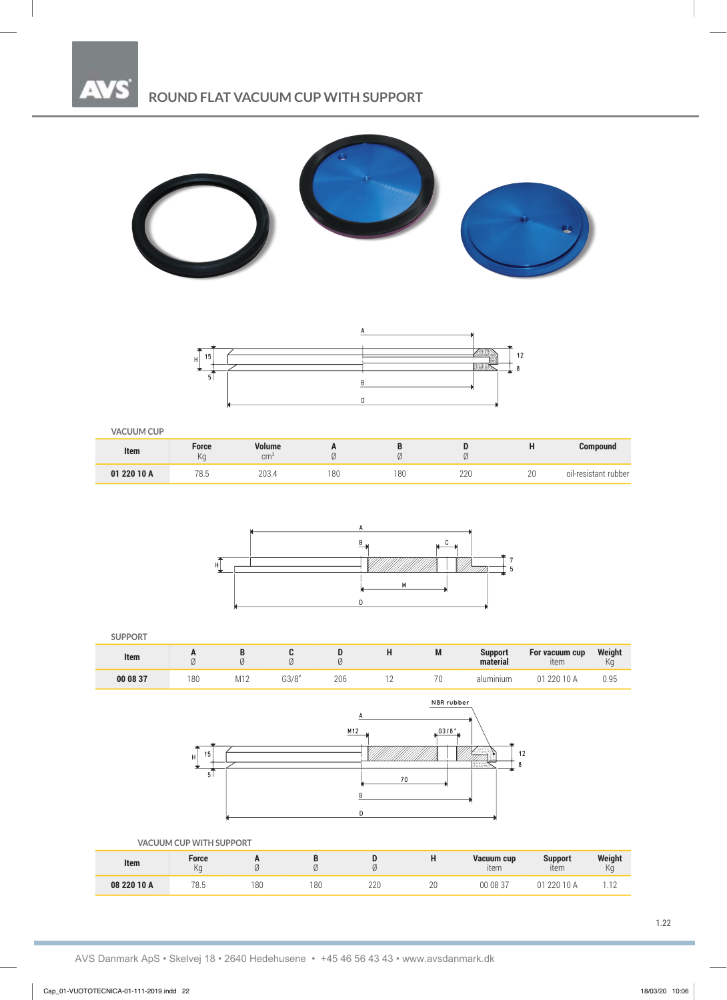

## **ROUND FLAT VACUUM CUP WITH SUPPORT**





#### **VACUUM CUP**

| Item        | Force<br>Ka | Volume<br>cm <sup>3</sup>                 | . . | ີ   |              |              | <b>Compound</b>      |
|-------------|-------------|-------------------------------------------|-----|-----|--------------|--------------|----------------------|
| 01 220 10 A | 78.5        | מ∩ר<br>LUJ. <sup>4</sup><br>$\sim$ $\sim$ | 180 | 180 | 000<br>$- -$ | $\cap$<br>ΖU | oil-resistant rubber |



#### **SUPPORT**

| Item     |     |                  |              | ∼<br>v | <b>IAI</b> | <b>Support</b><br>material | For vacuum cup<br>∙tem | Weight<br>NC. |
|----------|-----|------------------|--------------|--------|------------|----------------------------|------------------------|---------------|
| 00 08 37 | 180 | 110<br>$ V  + 4$ | 0.20<br>JJ/Ö | 206    | 70         | alumınıum                  | 220 10                 | 0.95          |



|             | VACUUM CUP WITH SUPPORT |        |     |     |    |                    |                        |               |
|-------------|-------------------------|--------|-----|-----|----|--------------------|------------------------|---------------|
| Item        | Force<br>Ka             | n<br>Ø |     |     | ., | Vacuum cup<br>ıtem | <b>Support</b><br>item | Weight<br>KG. |
| 08 220 10 A | 78.5                    | 180    | 180 | 220 | 20 | 00 08 37           | 220 10 A<br>Λ1         |               |